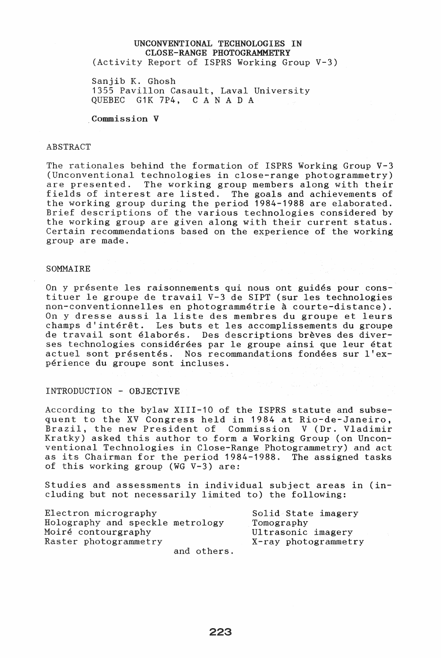## UNCONVENTIONAL TECHNOLOGIES IN CLOSE-RANGE PHOTOGRAMMETRY (Activity Report of ISPRS Working Group V-3)

Sanjib K. Ghosh 1355 Pavillon Casault, Laval University<br>OUEBEC G1K 7P4. C A N A D A C A N A D A

Commission V

#### ABSTRACT

The rationales behind the formation of ISPRS Working Group V-3 (Unconventional technologies in close-range photogrammetry) are presented. The working group members along with their fields of interest are listed. The goals and achievements of the working group during the period 1984-1988 are elaborated. Brief descriptions of the various technologies considered by the working group are given along with their current status. Certain recommendations based on the experience of the working group are made.

#### **SOMMATRE**

On y presente les raisonnements qui nous ont guides pour constituer Ie groupe de travail V-3 de SIPT (sur les technologies non-conventionnelles en photogrammetrie a courte-distance). On y dresse aussi la liste des membres du groupe et leurs champs d'interet. Les buts et les accomplissements du groupe de travail sont élaborés. Des descriptions brèves des diverses technologies considérées par le groupe ainsi que leur état actuel sont presentes. Nos recommandations fondees sur l'experience du groupe sont incluses.

#### INTRODUCTION - OBJECTIVE

According to the bylaw XIII-10 of the ISPRS statute and subsequent to the XV Congress held in 1984 at Rio-de-Janeiro, Brazil, the new President of Commission V (Dr. Vladimir Kratky) asked this author to form a Working Group (on Unconventional Technologies in Close-Range Photogrammetry) and act as its Chairman for the period 1984-1988. The assigned tasks of this working group (WG V-3) are:

Studies and assessments in individual subject areas in (including but not necessarily limited to) the following:

| Electron micrography<br>Holography and speckle metrology | Solid State imagery<br>Tomography |
|----------------------------------------------------------|-----------------------------------|
| Moiré contourgraphy                                      | Ultrasonic imagery                |
| Raster photogrammetry                                    | X-ray photogrammetry              |
| and others.                                              |                                   |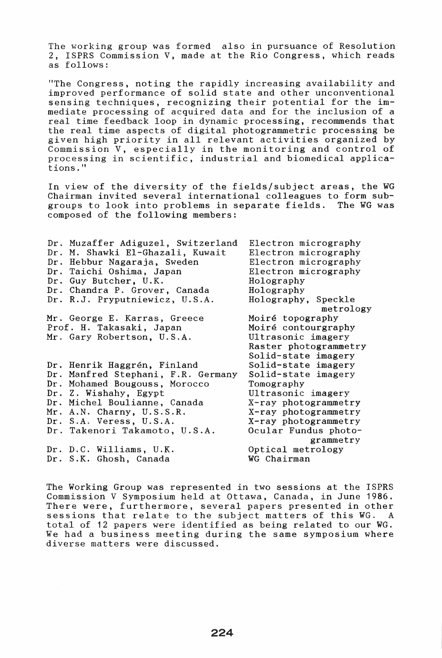The working group was formed also in pursuance of Resolution 2, ISPRS Commission V, made at the Rio Congress, which reads as follows:

"The Congress, noting the rapidly increasing availability and improved performance of solid state and other unconventional sensing techniques, recognizing their potential for the immediate processing of acquired data and for the inclusion of a real time feedback loop in dynamic processing, recommends that the real time aspects of digital photogrammetric processing be given high priority in all relevant activities organized by Commission V, especially in the monitoring and control of processing in scientific, industrial and biomedical applications."

In view of the diversity of the fields/subject areas, the WG Chairman invited several international colleagues to form subgroups to look into problems in separate fields. The WG was composed of the following members:

| Dr. Muzaffer Adiguzel, Switzerland<br>Dr. M. Shawki El-Ghazali, Kuwait<br>Dr. Hebbur Nagaraja, Sweden<br>Dr. Taichi Oshima, Japan<br>Dr. Guy Butcher, U.K.<br>Dr. Chandra P. Grover, Canada<br>Dr. R.J. Pryputniewicz, U.S.A. | Electron micrography<br>Electron micrography<br>Electron micrography<br>Electron micrography<br>Holography<br>Holography<br>Holography, Speckle<br>metrology |
|-------------------------------------------------------------------------------------------------------------------------------------------------------------------------------------------------------------------------------|--------------------------------------------------------------------------------------------------------------------------------------------------------------|
| Mr. George E. Karras, Greece                                                                                                                                                                                                  | Moiré topography                                                                                                                                             |
| Prof. H. Takasaki, Japan                                                                                                                                                                                                      | Moiré contourgraphy                                                                                                                                          |
| Mr. Gary Robertson, U.S.A.                                                                                                                                                                                                    | Ultrasonic imagery                                                                                                                                           |
|                                                                                                                                                                                                                               | Raster photogrammetry                                                                                                                                        |
|                                                                                                                                                                                                                               | Solid-state imagery                                                                                                                                          |
| Dr. Henrik Haggrén, Finland                                                                                                                                                                                                   | Solid-state imagery                                                                                                                                          |
| Dr. Manfred Stephani, F.R. Germany                                                                                                                                                                                            | Solid-state imagery                                                                                                                                          |
| Dr. Mohamed Bougouss, Morocco                                                                                                                                                                                                 | Tomography                                                                                                                                                   |
| Dr. Z. Wishahy, Egypt                                                                                                                                                                                                         | Ultrasonic imagery                                                                                                                                           |
| Dr. Michel Boulianne, Canada                                                                                                                                                                                                  | X-ray photogrammetry                                                                                                                                         |
| Mr. A.N. Charny, U.S.S.R.                                                                                                                                                                                                     | X-ray photogrammetry                                                                                                                                         |
| Dr. S.A. Veress, U.S.A.                                                                                                                                                                                                       | X-ray photogrammetry                                                                                                                                         |
| Dr. Takenori Takamoto, U.S.A.                                                                                                                                                                                                 | Ocular Fundus photo-                                                                                                                                         |
|                                                                                                                                                                                                                               | grammetry                                                                                                                                                    |
| Dr. D.C. Williams, U.K.                                                                                                                                                                                                       | Optical metrology                                                                                                                                            |
| Dr. S.K. Ghosh, Canada                                                                                                                                                                                                        | WG Chairman                                                                                                                                                  |
|                                                                                                                                                                                                                               |                                                                                                                                                              |

The Working Group was represented in two sessions at the ISPRS Commission V Symposium held at Ottawa, Canada, in June 1986. There were, furthermore, several papers presented in other sessions that relate to the subject matters of this WG. A total of 12 papers were identified as being related to our WG. We had a business meeting during the same symposium where diverse matters were discussed.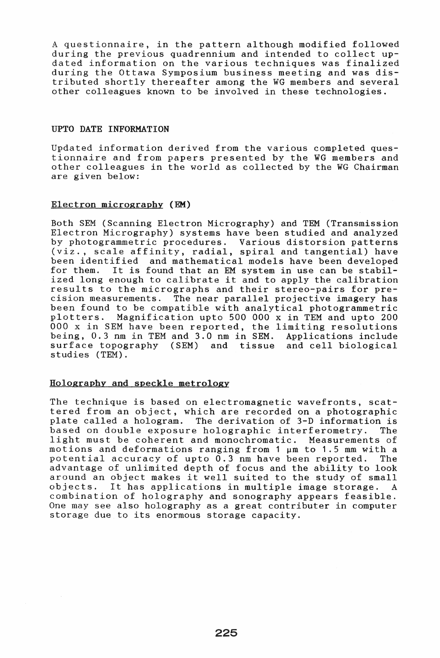A questionnaire, in the pattern although modified followed during the previous quadrennium and intended to collect updated information on the various techniques was finalized during the Ottawa Symposium business meeting and was distributed shortly thereafter among the WG members and several other colleagues known to be involved in these technologies.

#### UPTO DATE INFORMATION

Updated information derived from the various completed questionnaire and from papers presented by the WG members and other colleagues in the world as collected by the WG Chairman are given below:

## Electron micrography (EM)

Both SEM (Scanning Electron Micrography) and TEM (Transmission Electron Micrography) systems have been studied and analyzed by photogrammetric procedures. Various distorsion patterns (viz., scale affinity, radial, spiral and tangential) have been identified and mathematical models have been developed<br>for them. It is found that an EM system in use can be stabil-It is found that an EM system in use can be stabilized long enough to calibrate it and to apply the calibration results to the micrographs and their stereo-pairs for precision measurements. The near parallel projective imagery has been found to be compatible with analytical photogrammetric<br>plotters. Magnification upto 500 000 x in TEM and upto 200 Magnification upto 500 000 x in TEM and upto 200 000 x in SEM have been reported, the limiting resolutions being, 0.3 nm in TEM and 3.0 nm in SEM. Applications include surface topography (SEM) and tissue and cell biological studies (TEM).

## Holography and speckle metrology

The technique is based on electromagnetic wavefronts, scattered from an object, which are recorded on a photographic plate called a hologram. The derivation of 3-D information is based on double exposure holographic interferometry. The light must be coherent and monochromatic. Measurements of motions and deformations ranging from 1  $\mu$ m to 1.5 mm with a potential accuracy of upto 0.3 nm have been reported. The advantage of unlimited depth of focus and the ability to look around an object makes it well suited to the study of small objects. It has applications in multiple image storage. A It has applications in multiple image storage. A combination of holography and sonography appears feasible. One may see also holography as a great contributer in computer storage due to its enormous storage capacity.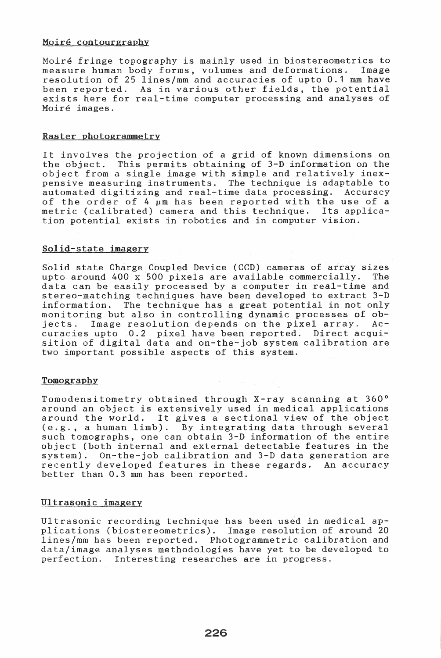## Moiré contourgraphy

Moiré fringe topography is mainly used in biostereometrics to measure human body forms, volumes and deformations. Image resolution of 25 lines/mm and accuracies of upto 0.1 mm been reported. As in various other fields, the potential exists here for real-time computer processing and analyses of Moire images.

## Raster photogrammetry

It involves the projection of a grid of known dimensions on the object. This permits obtaining of 3-D information on the object from a single image with simple and relatively inexpensive measuring instruments. The technique is adaptable to automated digitizing and real-time data processing. Accuracy of the order of 4  $\mu$ m has been reported with the use of a metric (calibrated) camera and this technique. Its applicametric (calibrated) camera and this technique. tion potential exists in robotics and in computer vision.

## Solid-state imagery

Solid state Charge Coupled Device (CCD) cameras of array sizes<br>unto around 400 x 500 pixels are available commercially. The upto around 400 x 500 pixels are available commercially. data can be easily processed by a computer in real-time and stereo-matching techniques have been developed to extract 3 information. The technique has a great potential in not only monitoring but also in controlling dynamic processes of ob-<br>jects. Image resolution depends on the pixel arrav. Acjects. Image resolution depends on the pixel array. curacies upto 0.2 pixel have been reported. Direct acquisition of digital data and on-the-job system calibration are two important possible aspects of this system.

## Tomography

Tomodensitometry obtained through X-ray scanning at 360° around an object is extensively used in medical applications around an object is extensively used in medical applications<br>around the world. It gives a sectional view of the object aroung the world. It gives a sectional view of the object<br>(e.g., a human limb). By integrating data through several  $(e.g., a human limb).$  By integrating data through several such tomographs, one can obtain  $3-D$  information of the entire object (both internal and external detectable features in the system). On-the-job calibration and 3-D data generation are recently developed features in these regards. An accuracy better than 0.3 mm has been reported.

## Ultrasonic imagery

Ultrasonic recording technique has been used in medical applications (biostereometrics). Image resolution of around lines/mm has been reported. Photogrammetric calibration and data/image analyses methodologies have yet to be developed to perfection. Interesting researches are in progress.